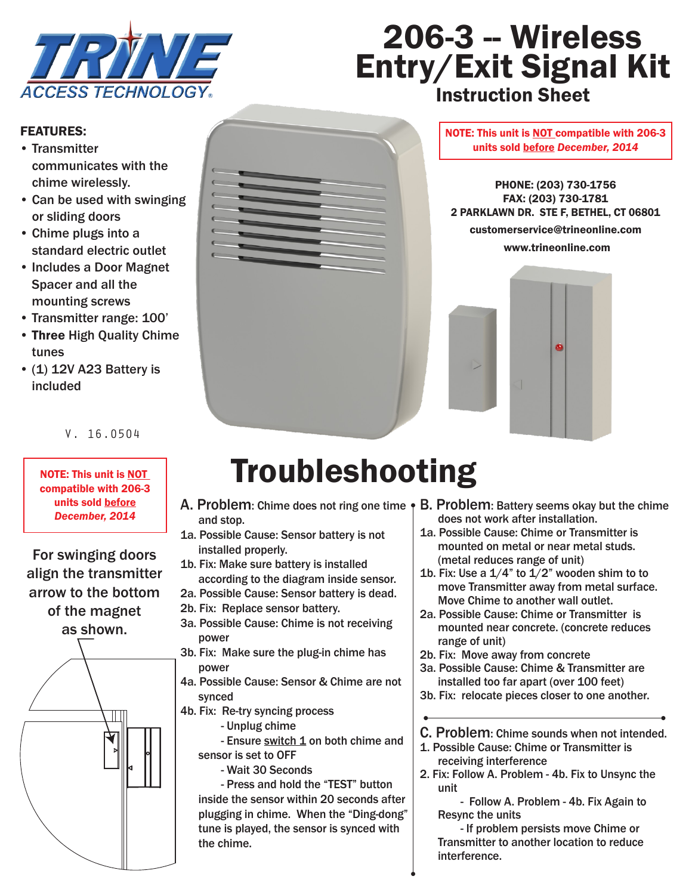

# 206-3 - Wireless Entry/Exit Signal Kit **Instruction Sheet**

#### FEATURES:

- Transmitter communicates with the chime wirelessly.
- Can be used with swinging or sliding doors
- Chime plugs into a standard electric outlet
- Includes a Door Magnet Spacer and all the mounting screws<br>Transmitter render
- Transmitter range: 100'
- Three High Quality Chime **1. Plug the chime on an electric outlet with the chime on an electric outlet with the chime on an electric outlet with the chime of the chime of the chime of the chime of the chime of the chime** tunes
- $(1)$  12V A23 Battery is included

#### $V. 16.0504$

2. Take off the back cover of the transmitter unit to

NOTE: This unit is NOT compatible with 206-3 units sold **before** | A *December, 2014*

For swinging doors<br>Ab Fix Make our bottery is installed align the transmitter arrow to the bottom of the magnet as shown. Note:

ab. Fix: Make sure the plug-in chime has  $\begin{array}{c} \begin{array}{c} \hline \text{if } \mathbb{R} \end{array} \end{array}$   $\begin{array}{c} \hline \text{if } \mathbb{R} \end{array}$   $\begin{array}{c} \hline \text{if } \mathbb{R} \end{array}$  $\left\| \begin{array}{c} \end{array} \right\|$  the chime.  $\begin{array}{ccc} \begin{array}{ccc} \nearrow & \end{array} & \begin{array}{ccc} \nearrow & \end{array} & \begin{array}{ccc} \nearrow & \end{array} & \begin{array}{ccc} \searrow & \end{array} & \begin{array}{ccc} \searrow & \end{array} & \begin{array}{ccc} \searrow & \end{array} & \begin{array}{ccc} \searrow & \end{array} & \begin{array}{ccc} \searrow & \end{array} & \begin{array}{ccc} \searrow & \end{array} & \begin{array}{ccc} \searrow & \end{array} & \begin{array}{ccc} \searrow & \end{array} & \begin{array}{ccc} \searrow & \end{array} & \begin{array}{ccc} \se$ bleshooting section if the installation does not work.



#### NOTE: This unit is NOT compatible with 206-3 units sold <u>before</u> December, 20<mark>1</mark>4

PHONE: (203) 730-1756 FAX: (203) 730-1781 2 PARKLAWN DR. STE F, BETHEL, CT 06801 customerservice@trineonline.com www.trineonline.com



### NOTE: This unit is NOT **Troubleshooting**  $\frac{1}{2}$  connatible with 206-3

- A. Problem: Chime does not ring one time  $\bullet$ and stop.
- 1a. Possible Cause: Sensor battery is not installed properly.
- 1b. Fix: Make sure battery is installed lign the transmitter according to the diagram inside sensor.
	- 2a. Possible Cause: Sensor battery is dead.
	- 2b. Fix: Replace sensor battery.
- as shown. 3a. Possible Cause: Chime is not receiving power
	- power
- (All Sounds Allen, Possible Cause: Sensor & Chime are not synced
	- 4b. Fix: Re-try syncing process
		- Unplug chime

 $\begin{array}{c||c||c|c} \hline \textbf{W} & \textbf{W} & \textbf{W} & \textbf{W} & \textbf{W} & \textbf{W} & \textbf{W} & \textbf{W} & \textbf{W} & \textbf{W} & \textbf{W} & \textbf{W} & \textbf{W} & \textbf{W} & \textbf{W} & \textbf{W} & \textbf{W} & \textbf{W} & \textbf{W} & \textbf{W} & \textbf{W} & \textbf{W} & \textbf{W} & \textbf{W} & \textbf{W} & \textbf{W} & \textbf{W} & \textbf{W} & \textbf{W} & \$ sensor is set to OFF

 - Press and hold the "TEST" button inside the sensor within 20 seconds after<br>  $\begin{array}{c} \hline \text{inside the sensor within 20 seconds after} \end{array}$  $\begin{array}{c} \hline \end{array}$  space if the door is space. When the "Ding-dong"  $\begin{array}{c} \hline \end{array}$  plugging in chime. When the "Ding-dong" tune is played, the sensor is synced with

- E. Problem: Battery seems okay but the chime does not work after installation. does not work after installation.
	- 1a. Possible Cause: Chime or Transmitter is mounted on metal or near metal studs. (metal reduces range of unit)
		- 1b. Fix: Use a  $1/4$ " to  $1/2$ " wooden shim to to move Transmitter away from metal surface. Move Chime to another wall outlet.
		- 2a. Possible Cause: Chime or Transmitter is mounted near concrete. (concrete reduces range of unit)
		- 2b. Fix: Move away from concrete
		- and the more analy new concrete. installed too far apart (over 100 feet)
		- 3b. Fix: relocate pieces closer to one another.
		- C. Problem: Chime sounds when not intended.
		- 1. Possible Cause: Chime or Transmitter is receiving interference
		- 2. Fix: Follow A. Problem 4b. Fix to Unsync the unit

 - Follow A. Problem - 4b. Fix Again to Magnet Resync the units

- If problem persists move Chime or Transmitter to another location to reduce interference.